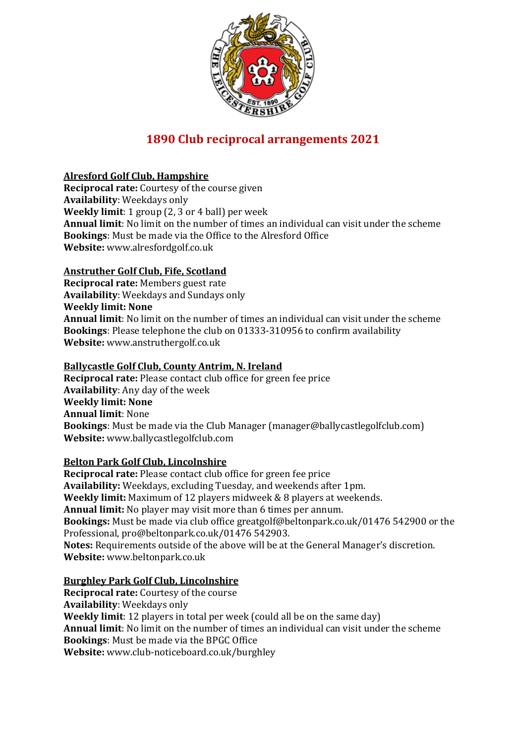

# **1890 Club reciprocal arrangements 2021**

# **Alresford Golf Club, Hampshire**

**Reciprocal rate:** Courtesy of the course given **Availability**: Weekdays only **Weekly limit**: 1 group (2, 3 or 4 ball) per week **Annual limit**: No limit on the number of times an individual can visit under the scheme **Bookings**: Must be made via the Office to the Alresford Office **Website:** www.alresfordgolf.co.uk

# **Anstruther Golf Club, Fife, Scotland**

**Reciprocal rate:** Members guest rate **Availability**: Weekdays and Sundays only **Weekly limit: None Annual limit**: No limit on the number of times an individual can visit under the scheme **Bookings**: Please telephone the club on 01333-310956 to confirm availability **Website:** www.anstruthergolf.co.uk

# **Ballycastle Golf Club, County Antrim, N. Ireland**

**Reciprocal rate:** Please contact club office for green fee price **Availability**: Any day of the week **Weekly limit: None Annual limit**: None **Bookings**: Must be made via the Club Manager (manager@ballycastlegolfclub.com) **Website:** www.ballycastlegolfclub.com

# **Belton Park Golf Club, Lincolnshire**

**Reciprocal rate:** Please contact club office for green fee price **Availability:** Weekdays, excluding Tuesday, and weekends after 1pm. **Weekly limit:** Maximum of 12 players midweek & 8 players at weekends. **Annual limit:** No player may visit more than 6 times per annum. **Bookings:** Must be made via club office greatgolf@beltonpark.co.uk/01476 542900 or the Professional, pro@beltonpark.co.uk/01476 542903. **Notes:** Requirements outside of the above will be at the General Manager's discretion. **Website:** www.beltonpark.co.uk

# **Burghley Park Golf Club, Lincolnshire**

**Reciprocal rate:** Courtesy of the course **Availability**: Weekdays only **Weekly limit**: 12 players in total per week (could all be on the same day) **Annual limit**: No limit on the number of times an individual can visit under the scheme **Bookings**: Must be made via the BPGC Office **Website:** www.club-noticeboard.co.uk/burghley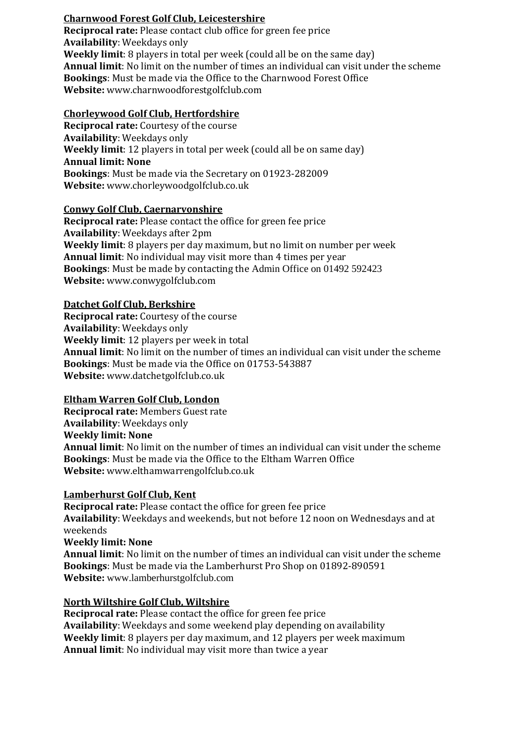# **Charnwood Forest Golf Club, Leicestershire**

**Reciprocal rate:** Please contact club office for green fee price **Availability**: Weekdays only **Weekly limit**: 8 players in total per week (could all be on the same day) **Annual limit**: No limit on the number of times an individual can visit under the scheme **Bookings**: Must be made via the Office to the Charnwood Forest Office **Website:** www.charnwoodforestgolfclub.com

## **Chorleywood Golf Club, Hertfordshire**

**Reciprocal rate:** Courtesy of the course **Availability**: Weekdays only **Weekly limit**: 12 players in total per week (could all be on same day) **Annual limit: None Bookings**: Must be made via the Secretary on 01923-282009 **Website:** www.chorleywoodgolfclub.co.uk

#### **Conwy Golf Club, Caernarvonshire**

**Reciprocal rate:** Please contact the office for green fee price **Availability**: Weekdays after 2pm **Weekly limit**: 8 players per day maximum, but no limit on number per week **Annual limit**: No individual may visit more than 4 times per year **Bookings**: Must be made by contacting the Admin Office on 01492 592423 **Website:** www.conwygolfclub.com

## **Datchet Golf Club, Berkshire**

**Reciprocal rate:** Courtesy of the course **Availability**: Weekdays only **Weekly limit**: 12 players per week in total **Annual limit**: No limit on the number of times an individual can visit under the scheme **Bookings**: Must be made via the Office on 01753-543887 **Website:** www.datchetgolfclub.co.uk

# **Eltham Warren Golf Club, London**

**Reciprocal rate:** Members Guest rate **Availability**: Weekdays only **Weekly limit: None Annual limit**: No limit on the number of times an individual can visit under the scheme **Bookings**: Must be made via the Office to the Eltham Warren Office **Website:** www.elthamwarrengolfclub.co.uk

#### **Lamberhurst Golf Club, Kent**

**Reciprocal rate:** Please contact the office for green fee price **Availability**: Weekdays and weekends, but not before 12 noon on Wednesdays and at weekends **Weekly limit: None** 

**Annual limit**: No limit on the number of times an individual can visit under the scheme **Bookings**: Must be made via the Lamberhurst Pro Shop on 01892-890591 **Website:** www.lamberhurstgolfclub.com

#### **North Wiltshire Golf Club, Wiltshire**

**Reciprocal rate:** Please contact the office for green fee price **Availability**: Weekdays and some weekend play depending on availability **Weekly limit**: 8 players per day maximum, and 12 players per week maximum **Annual limit**: No individual may visit more than twice a year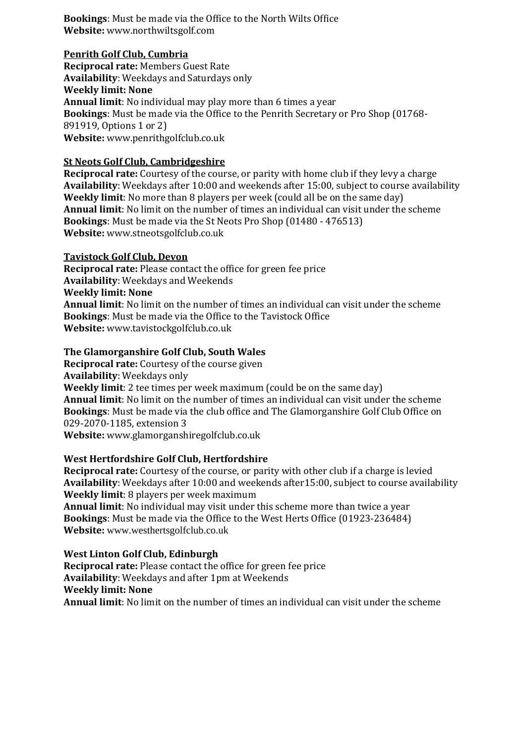**Bookings**: Must be made via the Office to the North Wilts Office **Website:** www.northwiltsgolf.com

## **Penrith Golf Club, Cumbria**

**Reciprocal rate:** Members Guest Rate **Availability**: Weekdays and Saturdays only **Weekly limit: None Annual limit**: No individual may play more than 6 times a year **Bookings**: Must be made via the Office to the Penrith Secretary or Pro Shop (01768- 891919, Options 1 or 2) **Website:** www.penrithgolfclub.co.uk

# **St Neots Golf Club, Cambridgeshire**

**Reciprocal rate:** Courtesy of the course, or parity with home club if they levy a charge **Availability**: Weekdays after 10:00 and weekends after 15:00, subject to course availability **Weekly limit**: No more than 8 players per week (could all be on the same day) **Annual limit**: No limit on the number of times an individual can visit under the scheme **Bookings**: Must be made via the St Neots Pro Shop (01480 - 476513) **Website:** www.stneotsgolfclub.co.uk

## **Tavistock Golf Club, Devon**

**Reciprocal rate:** Please contact the office for green fee price **Availability**: Weekdays and Weekends **Weekly limit: None Annual limit**: No limit on the number of times an individual can visit under the scheme **Bookings**: Must be made via the Office to the Tavistock Office **Website:** www.tavistockgolfclub.co.uk

## **The Glamorganshire Golf Club, South Wales**

**Reciprocal rate:** Courtesy of the course given **Availability**: Weekdays only **Weekly limit**: 2 tee times per week maximum (could be on the same day) **Annual limit**: No limit on the number of times an individual can visit under the scheme **Bookings**: Must be made via the club office and The Glamorganshire Golf Club Office on 029-2070-1185, extension 3 **Website:** www.glamorganshiregolfclub.co.uk

#### **West Hertfordshire Golf Club, Hertfordshire**

**Reciprocal rate:** Courtesy of the course, or parity with other club if a charge is levied **Availability**: Weekdays after 10:00 and weekends after15:00, subject to course availability **Weekly limit**: 8 players per week maximum

**Annual limit**: No individual may visit under this scheme more than twice a year **Bookings**: Must be made via the Office to the West Herts Office (01923-236484) **Website:** www.westhertsgolfclub.co.uk

# **West Linton Golf Club, Edinburgh**

**Reciprocal rate:** Please contact the office for green fee price **Availability**: Weekdays and after 1pm at Weekends **Weekly limit: None Annual limit**: No limit on the number of times an individual can visit under the scheme